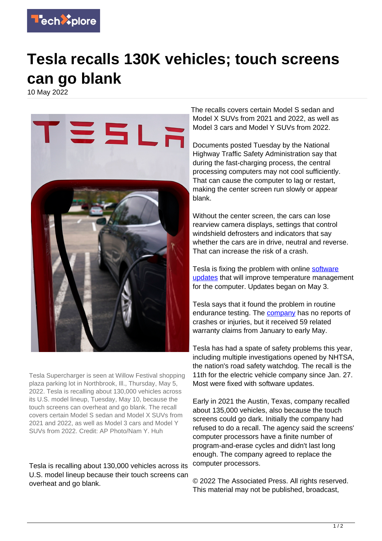

## **Tesla recalls 130K vehicles; touch screens can go blank**

10 May 2022



Tesla Supercharger is seen at Willow Festival shopping plaza parking lot in Northbrook, Ill., Thursday, May 5, 2022. Tesla is recalling about 130,000 vehicles across its U.S. model lineup, Tuesday, May 10, because the touch screens can overheat and go blank. The recall covers certain Model S sedan and Model X SUVs from 2021 and 2022, as well as Model 3 cars and Model Y SUVs from 2022. Credit: AP Photo/Nam Y. Huh

Tesla is recalling about 130,000 vehicles across its U.S. model lineup because their touch screens can overheat and go blank.

The recalls covers certain Model S sedan and Model X SUVs from 2021 and 2022, as well as Model 3 cars and Model Y SUVs from 2022.

Documents posted Tuesday by the National Highway Traffic Safety Administration say that during the fast-charging process, the central processing computers may not cool sufficiently. That can cause the computer to lag or restart, making the center screen run slowly or appear blank.

Without the center screen, the cars can lose rearview camera displays, settings that control windshield defrosters and indicators that say whether the cars are in drive, neutral and reverse. That can increase the risk of a crash.

Tesla is fixing the problem with online [software](https://techxplore.com/tags/software+updates/) [updates](https://techxplore.com/tags/software+updates/) that will improve temperature management for the computer. Updates began on May 3.

Tesla says that it found the problem in routine endurance testing. The [company](https://techxplore.com/tags/company/) has no reports of crashes or injuries, but it received 59 related warranty claims from January to early May.

Tesla has had a spate of safety problems this year, including multiple investigations opened by NHTSA, the nation's road safety watchdog. The recall is the 11th for the electric vehicle company since Jan. 27. Most were fixed with software updates.

Early in 2021 the Austin, Texas, company recalled about 135,000 vehicles, also because the touch screens could go dark. Initially the company had refused to do a recall. The agency said the screens' computer processors have a finite number of program-and-erase cycles and didn't last long enough. The company agreed to replace the computer processors.

© 2022 The Associated Press. All rights reserved. This material may not be published, broadcast,